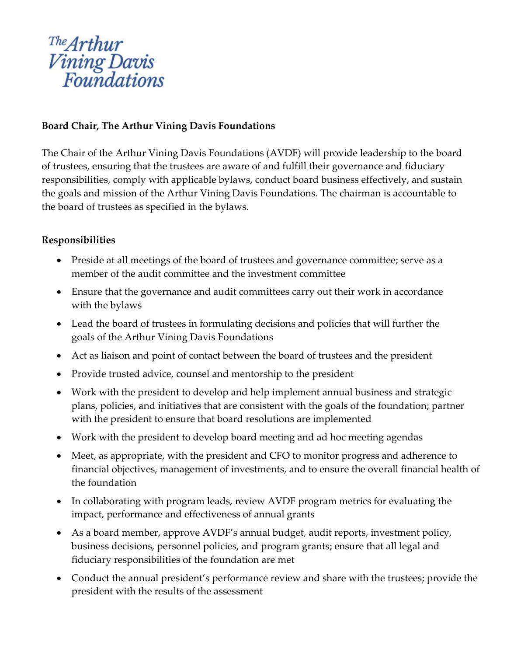# <sup>The</sup>Arthur<br>Vining Davis<br>Foundations

# **Board Chair, The Arthur Vining Davis Foundations**

The Chair of the Arthur Vining Davis Foundations (AVDF) will provide leadership to the board of trustees, ensuring that the trustees are aware of and fulfill their governance and fiduciary responsibilities, comply with applicable bylaws, conduct board business effectively, and sustain the goals and mission of the Arthur Vining Davis Foundations. The chairman is accountable to the board of trustees as specified in the bylaws.

## **Responsibilities**

- Preside at all meetings of the board of trustees and governance committee; serve as a member of the audit committee and the investment committee
- Ensure that the governance and audit committees carry out their work in accordance with the bylaws
- Lead the board of trustees in formulating decisions and policies that will further the goals of the Arthur Vining Davis Foundations
- Act as liaison and point of contact between the board of trustees and the president
- Provide trusted advice, counsel and mentorship to the president
- Work with the president to develop and help implement annual business and strategic plans, policies, and initiatives that are consistent with the goals of the foundation; partner with the president to ensure that board resolutions are implemented
- Work with the president to develop board meeting and ad hoc meeting agendas
- Meet, as appropriate, with the president and CFO to monitor progress and adherence to financial objectives, management of investments, and to ensure the overall financial health of the foundation
- In collaborating with program leads, review AVDF program metrics for evaluating the impact, performance and effectiveness of annual grants
- As a board member, approve AVDF's annual budget, audit reports, investment policy, business decisions, personnel policies, and program grants; ensure that all legal and fiduciary responsibilities of the foundation are met
- Conduct the annual president's performance review and share with the trustees; provide the president with the results of the assessment